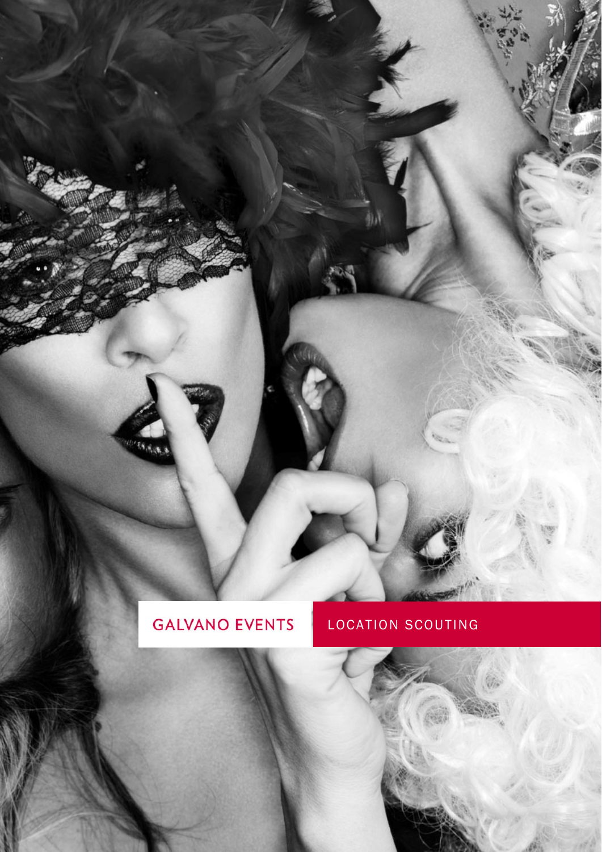# **GALVANO EVENTS**

 $\overline{\mathfrak{G}_{\mathfrak{K},\mathfrak{g}}}$ 

## LOCATION SCOUTING

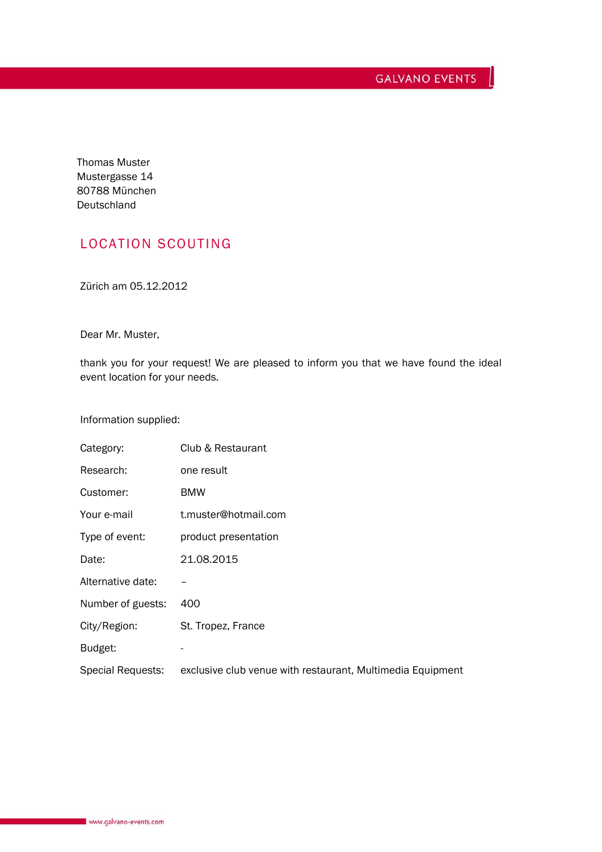Thomas Muster Mustergasse 14 80788 München Deutschland

### LOCATION SCOUTING

Zürich am 05.12.2012

Dear Mr. Muster,

thank you for your request! We are pleased to inform you that we have found the ideal event location for your needs.

Information supplied:

| Category:         | Club & Restaurant                                          |
|-------------------|------------------------------------------------------------|
| Research:         | one result                                                 |
| Customer:         | <b>BMW</b>                                                 |
| Your e-mail       | t.muster@hotmail.com                                       |
| Type of event:    | product presentation                                       |
| Date:             | 21.08.2015                                                 |
| Alternative date: |                                                            |
| Number of guests: | 400                                                        |
| City/Region:      | St. Tropez, France                                         |
| Budget:           |                                                            |
| Special Requests: | exclusive club venue with restaurant, Multimedia Equipment |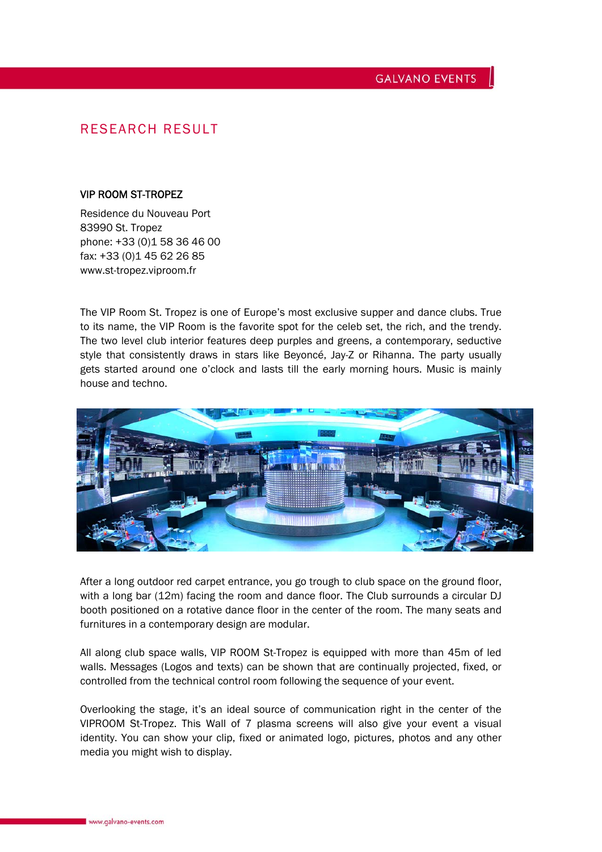#### **GALVANO EVENTS**

### RESEARCH RESULT

#### VIP ROOM ST-TROPEZ

Residence du Nouveau Port 83990 St. Tropez phone: +33 (0)1 58 36 46 00 fax: +33 (0)1 45 62 26 85 www.st-tropez.viproom.fr

The VIP Room St. Tropez is one of Europe's most exclusive supper and dance clubs. True to its name, the VIP Room is the favorite spot for the celeb set, the rich, and the trendy. The two level club interior features deep purples and greens, a contemporary, seductive style that consistently draws in stars like Beyoncé, Jay-Z or Rihanna. The party usually gets started around one o'clock and lasts till the early morning hours. Music is mainly house and techno.



After a long outdoor red carpet entrance, you go trough to club space on the ground floor, with a long bar (12m) facing the room and dance floor. The Club surrounds a circular DJ booth positioned on a rotative dance floor in the center of the room. The many seats and furnitures in a contemporary design are modular.

All along club space walls, VIP ROOM St-Tropez is equipped with more than 45m of led walls. Messages (Logos and texts) can be shown that are continually projected, fixed, or controlled from the technical control room following the sequence of your event.

Overlooking the stage, it's an ideal source of communication right in the center of the VIPROOM St-Tropez. This Wall of 7 plasma screens will also give your event a visual identity. You can show your clip, fixed or animated logo, pictures, photos and any other media you might wish to display.